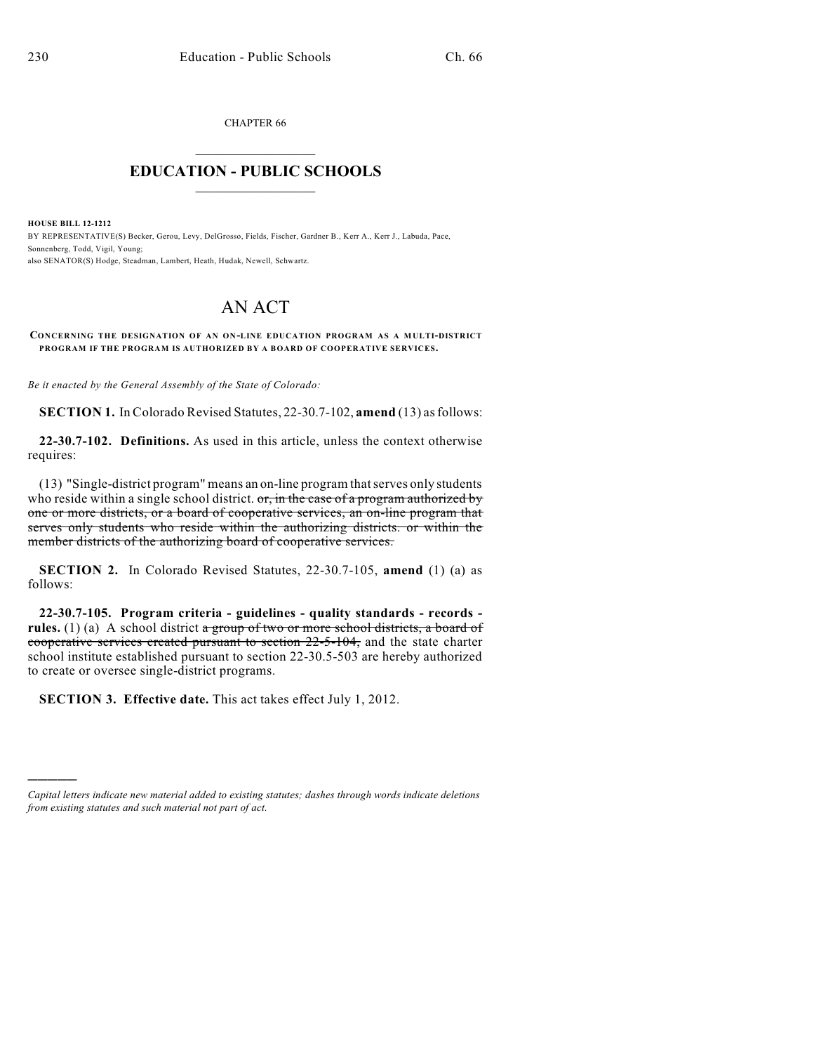CHAPTER 66  $\mathcal{L}_\text{max}$  . The set of the set of the set of the set of the set of the set of the set of the set of the set of the set of the set of the set of the set of the set of the set of the set of the set of the set of the set

## **EDUCATION - PUBLIC SCHOOLS**  $\_$   $\_$   $\_$   $\_$   $\_$   $\_$   $\_$   $\_$   $\_$

**HOUSE BILL 12-1212** BY REPRESENTATIVE(S) Becker, Gerou, Levy, DelGrosso, Fields, Fischer, Gardner B., Kerr A., Kerr J., Labuda, Pace, Sonnenberg, Todd, Vigil, Young; also SENATOR(S) Hodge, Steadman, Lambert, Heath, Hudak, Newell, Schwartz.

## AN ACT

**CONCERNING THE DESIGNATION OF AN ON-LINE EDUCATION PROGRAM AS A MULTI-DISTRICT PROGRAM IF THE PROGRAM IS AUTHORIZED BY A BOARD OF COOPERATIVE SERVICES.**

*Be it enacted by the General Assembly of the State of Colorado:*

**SECTION 1.** In Colorado Revised Statutes, 22-30.7-102, **amend** (13) asfollows:

**22-30.7-102. Definitions.** As used in this article, unless the context otherwise requires:

(13) "Single-district program" means an on-line program thatserves only students who reside within a single school district.  $\sigma$ , in the case of a program authorized by one or more districts, or a board of cooperative services, an on-line program that serves only students who reside within the authorizing districts. or within the member districts of the authorizing board of cooperative services.

**SECTION 2.** In Colorado Revised Statutes, 22-30.7-105, **amend** (1) (a) as follows:

**22-30.7-105. Program criteria - guidelines - quality standards - records**  rules. (1) (a) A school district a group of two or more school districts, a board of cooperative services created pursuant to section 22-5-104, and the state charter school institute established pursuant to section 22-30.5-503 are hereby authorized to create or oversee single-district programs.

**SECTION 3. Effective date.** This act takes effect July 1, 2012.

)))))

*Capital letters indicate new material added to existing statutes; dashes through words indicate deletions from existing statutes and such material not part of act.*